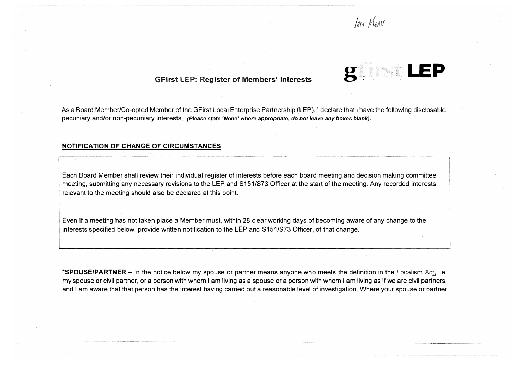*JAN MEAN* 



As a Board Member/Co-opted Member of the GFirst Local Enterprise Partnership (LEP), I declare that I have the following disclosable pecuniary and/or non-pecuniary interests. *(Please state* 'None' *where appropriate, do not leave any boxes blank).*

#### **NOTIFICATION OF CHANGE OF CIRCUMSTANCES**

Each Board Member shall review their individual register of interests before each board meeting and decision making committee meeting, submitting any necessary revisions to the LEP and S151/S73 Officer at the start of the meeting. Any recorded interests relevant to the meeting should also be declared at this point.

Even if a meeting has not taken place a Member must, within 28 clear working days of becoming aware of any change to the interests specified below, provide written notification to the LEP and S151/S73 Officer, of that change.

**\*SPOUSE/PARTNER-** In the notice below my spouse or partner means anyone who meets the definition in the Localism Act, i.e. my spouse or civil partner, or a person with whom I am living as a spouse or a person with whom I am living as if we are civil partners, and I am aware that that person has the interest having carried out a reasonable level of investigation. Where your spouse or partner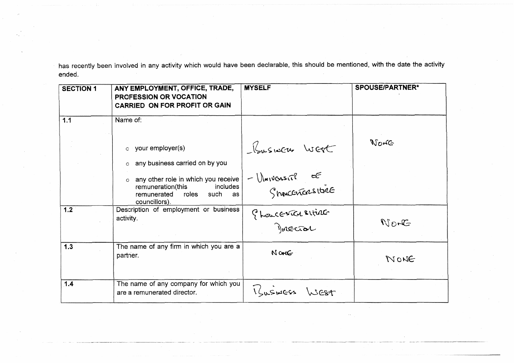has recently been involved in any activity which would have been declarable, this should be mentioned, with the date the activity ended.

| <b>SECTION 1</b> | ANY EMPLOYMENT, OFFICE, TRADE,<br><b>PROFESSION OR VOCATION</b><br><b>CARRIED ON FOR PROFIT OR GAIN</b>                                | <b>MYSELF</b>                       | <b>SPOUSE/PARTNER*</b> |
|------------------|----------------------------------------------------------------------------------------------------------------------------------------|-------------------------------------|------------------------|
| 1.1              | Name of:                                                                                                                               |                                     |                        |
|                  | your employer(s)<br>$\circ$<br>any business carried on by you<br>$\circ$                                                               | Ususinces West                      | Norte                  |
|                  | any other role in which you receive<br>$\circ$<br>remuneration(this<br>includes<br>roles<br>such<br>remunerated<br>as<br>councillors). | - Ulmiversit? =<<br>Shoucencesities |                        |
| 1.2              | Description of employment or business<br>activity.                                                                                     | Phoncescal situac                   | $N$ pr $G$             |
| 1.3              | The name of any firm in which you are a<br>partner.                                                                                    | NONE                                | NONE                   |
| 1.4              | The name of any company for which you<br>are a remunerated director.                                                                   | TLISINGSS<br>WEST                   |                        |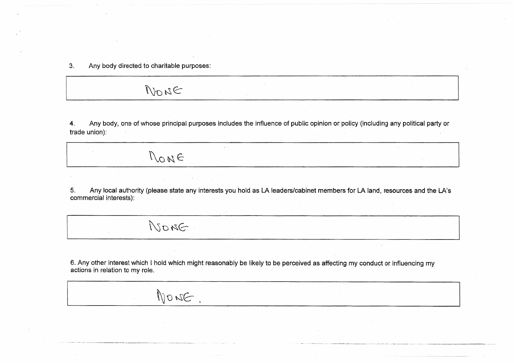$3.$ Any body directed to charitable purposes:

NONE

NONG

NONE.

NONE

Any body, one of whose principal purposes includes the influence of public opinion or policy (including any political party or  $\boldsymbol{4}$ . trade union):

Any local authority (please state any interests you hold as LA leaders/cabinet members for LA land, resources and the LA's 5. commercial interests):

6. Any other interest which I hold which might reasonably be likely to be perceived as affecting my conduct or influencing my actions in relation to my role.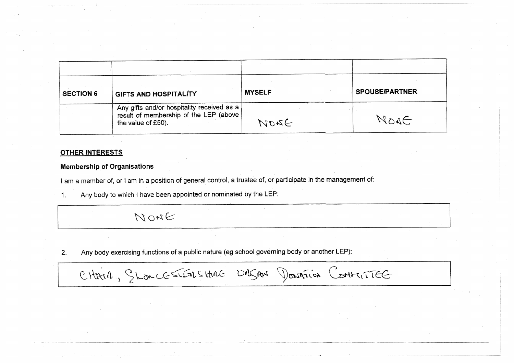| <b>SECTION 6</b> | GIFTS AND HOSPITALITY                                                                                      | <b>MYSELF</b> | <b>SPOUSE/PARTNER</b> |
|------------------|------------------------------------------------------------------------------------------------------------|---------------|-----------------------|
|                  | Any gifts and/or hospitality received as a<br>result of membership of the LEP (above<br>the value of £50). | NORG          | NONG                  |

### **OTHER INTERESTS**

### **Membership of Organisations**

I am a member of, or I am in a position of general control, a trustee of, or participate in the management of:

Any body to which I have been appointed or nominated by the LEP:  $\mathbf{1}$ .

# NONE

Any body exercising functions of a public nature (eg school governing body or another LEP):  $2.$ 

CHARA, Shonces The Schne DRSAN Dominion Contracte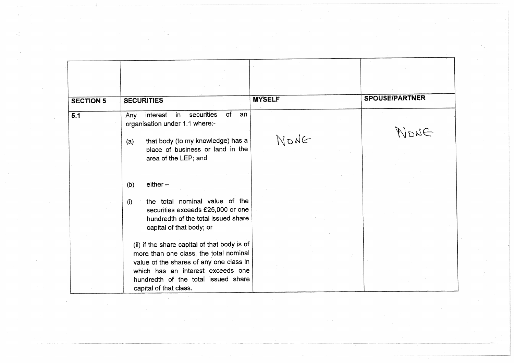| <b>SECTION 5</b> | <b>SECURITIES</b>                                                                                                                                                                                                                       | <b>MYSELF</b> | <b>SPOUSE/PARTNER</b> |
|------------------|-----------------------------------------------------------------------------------------------------------------------------------------------------------------------------------------------------------------------------------------|---------------|-----------------------|
| 5.1              | securities<br>of<br>interest<br>$in$ .<br>an<br>Any<br>organisation under 1.1 where:-<br>that body (to my knowledge) has a<br>(a)                                                                                                       | NONG          | $\exists u_0$         |
|                  | place of business or land in the<br>area of the LEP; and                                                                                                                                                                                |               |                       |
|                  | $either -$<br>(b)                                                                                                                                                                                                                       |               |                       |
|                  | the total nominal value of the<br>(i)<br>securities exceeds £25,000 or one<br>hundredth of the total issued share<br>capital of that body; or                                                                                           |               |                       |
|                  | (ii) if the share capital of that body is of<br>more than one class, the total nominal<br>value of the shares of any one class in<br>which has an interest exceeds one<br>hundredth of the total issued share<br>capital of that class. |               |                       |

 $\Delta\mathcal{F}^{\text{max}}_{\text{max}}$  and  $\Delta\mathcal{F}^{\text{max}}_{\text{max}}$ 

 $\sim 10^7$ 

 $\sim$ 

 $\mathcal{L}_{\text{max}}$ 

 $\mathcal{A}$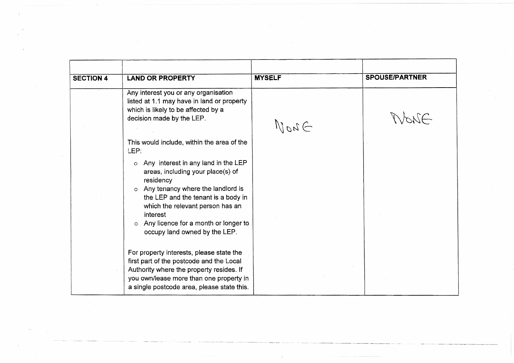| <b>SECTION 4</b> | <b>LAND OR PROPERTY</b>                                                                                                                                                                                                   | <b>MYSELF</b> | <b>SPOUSE/PARTNER</b> |
|------------------|---------------------------------------------------------------------------------------------------------------------------------------------------------------------------------------------------------------------------|---------------|-----------------------|
|                  | Any interest you or any organisation<br>listed at 1.1 may have in land or property<br>which is likely to be affected by a<br>decision made by the LEP.                                                                    | DacU          | WONE                  |
|                  | This would include, within the area of the<br>LEP:<br>Any interest in any land in the LEP<br>$\circ$<br>areas, including your place(s) of                                                                                 |               |                       |
|                  | residency<br>o Any tenancy where the landlord is<br>the LEP and the tenant is a body in<br>which the relevant person has an<br>interest                                                                                   |               |                       |
|                  | Any licence for a month or longer to<br>$\circ$<br>occupy land owned by the LEP.                                                                                                                                          |               |                       |
|                  | For property interests, please state the<br>first part of the postcode and the Local<br>Authority where the property resides. If<br>you own/lease more than one property in<br>a single postcode area, please state this. |               |                       |

 $\sim 100$  km s  $^{-1}$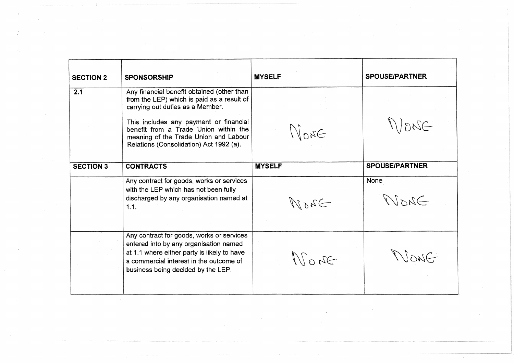| <b>SECTION 2</b> | <b>SPONSORSHIP</b>                                                                                                                                                                                                  | <b>MYSELF</b>      | <b>SPOUSE/PARTNER</b> |
|------------------|---------------------------------------------------------------------------------------------------------------------------------------------------------------------------------------------------------------------|--------------------|-----------------------|
| 2.1              | Any financial benefit obtained (other than<br>from the LEP) which is paid as a result of<br>carrying out duties as a Member.                                                                                        |                    |                       |
|                  | This includes any payment or financial<br>benefit from a Trade Union within the<br>meaning of the Trade Union and Labour<br>Relations (Consolidation) Act 1992 (a).                                                 | $\Im a_0$          | $-320(1)$             |
| <b>SECTION 3</b> | <b>CONTRACTS</b>                                                                                                                                                                                                    | <b>MYSELF</b>      | <b>SPOUSE/PARTNER</b> |
|                  | Any contract for goods, works or services<br>with the LEP which has not been fully<br>discharged by any organisation named at<br>1.1.                                                                               | $\Rightarrow$ 2011 | <b>None</b><br>DASTA  |
|                  | Any contract for goods, works or services<br>entered into by any organisation named<br>at 1.1 where either party is likely to have<br>a commercial interest in the outcome of<br>business being decided by the LEP. | $\Re$              | Aug11                 |

 $\sim$   $\sim$ 

 $\sim$   $\sim$ 

 $\sim$ 

 $\label{eq:2.1} \frac{1}{\sqrt{2}}\int_{0}^{\infty}\frac{1}{\sqrt{2\pi}}\left(\frac{1}{\sqrt{2\pi}}\right)^{2\alpha}d\mu\,d\mu\,.$ 

 $\mathcal{L}^{\mathcal{L}}(\mathcal{S})$  and  $\mathcal{L}^{\mathcal{L}}(\mathcal{S})$  .

 $\sim 10^{11}$ 

 $\label{eq:2.1} \frac{1}{\sqrt{2}}\left(\frac{1}{\sqrt{2}}\right)^{2} \left(\frac{1}{\sqrt{2}}\right)^{2} \left(\frac{1}{\sqrt{2}}\right)^{2} \left(\frac{1}{\sqrt{2}}\right)^{2} \left(\frac{1}{\sqrt{2}}\right)^{2} \left(\frac{1}{\sqrt{2}}\right)^{2} \left(\frac{1}{\sqrt{2}}\right)^{2} \left(\frac{1}{\sqrt{2}}\right)^{2} \left(\frac{1}{\sqrt{2}}\right)^{2} \left(\frac{1}{\sqrt{2}}\right)^{2} \left(\frac{1}{\sqrt{2}}\right)^{2} \left(\$ 

 $\mathcal{L}^{\text{max}}_{\text{max}}$ 

 $\sim$   $\sim$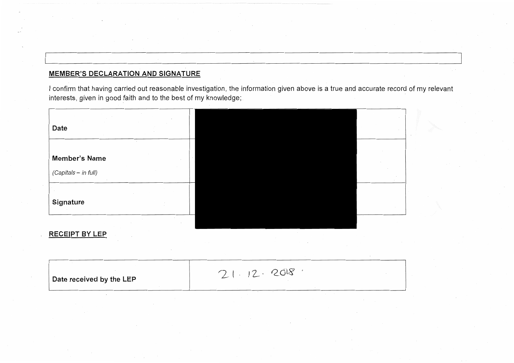## **MEMBER'S DECLARATION AND SIGNATURE**

I confirm that having carried out reasonable investigation, the information given above is a true and accurate record of my relevant interests, given in good faith and to the best of my knowledge;

| Date                 |  |
|----------------------|--|
|                      |  |
| <b>Member's Name</b> |  |
| (Capitals - in full) |  |
|                      |  |
| Signature            |  |
|                      |  |

### **RECEIPT BY LEP**

| Date received by the LEP | $\sim$ 0 $\sim$ |
|--------------------------|-----------------|
|                          |                 |